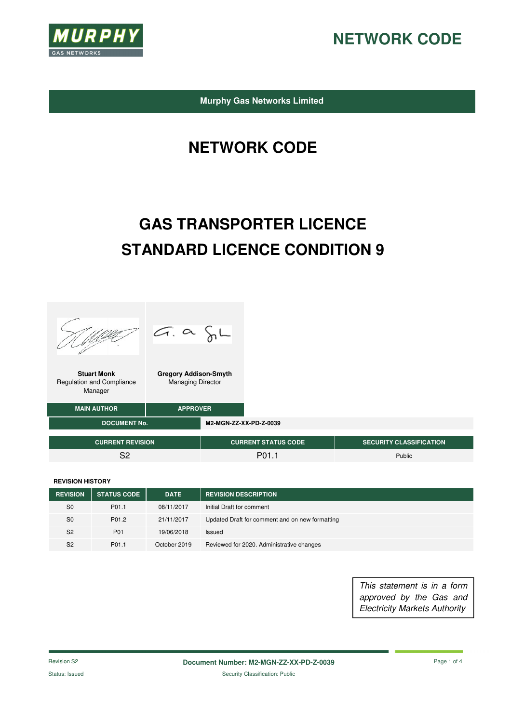

**Murphy Gas Networks Limited** 

# **NETWORK CODE**

# **GAS TRANSPORTER LICENCE STANDARD LICENCE CONDITION 9**



**REVISION HISTORY**

| <b>REVISION</b> | <b>STATUS CODE</b> | <b>DATE</b>  | <b>REVISION DESCRIPTION</b>                     |
|-----------------|--------------------|--------------|-------------------------------------------------|
| S <sub>0</sub>  | P01.1              | 08/11/2017   | Initial Draft for comment                       |
| S <sub>0</sub>  | P01.2              | 21/11/2017   | Updated Draft for comment and on new formatting |
| S <sub>2</sub>  | P01                | 19/06/2018   | Issued                                          |
| S <sub>2</sub>  | P01.1              | October 2019 | Reviewed for 2020. Administrative changes       |

This statement is in a form approved by the Gas and Electricity Markets Authority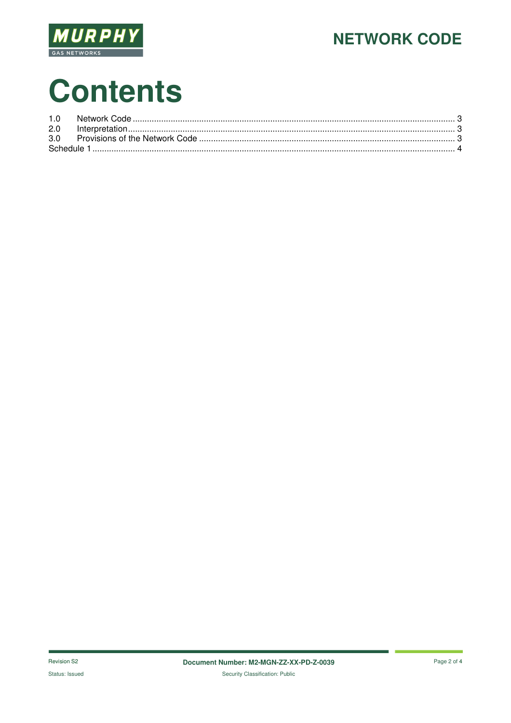

# **Contents**

| 2.0 |  |
|-----|--|
| 3.0 |  |
|     |  |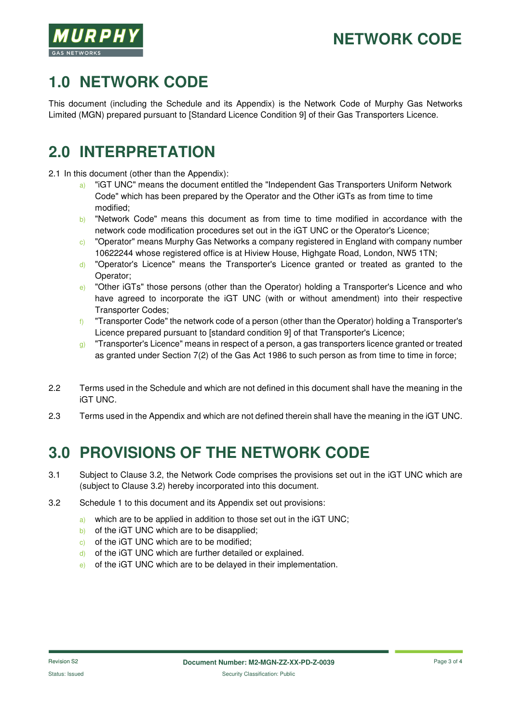# **1.0 NETWORK CODE**

This document (including the Schedule and its Appendix) is the Network Code of Murphy Gas Networks Limited (MGN) prepared pursuant to [Standard Licence Condition 9] of their Gas Transporters Licence.

## **2.0 INTERPRETATION**

2.1 In this document (other than the Appendix):

- a) "iGT UNC" means the document entitled the "Independent Gas Transporters Uniform Network Code" which has been prepared by the Operator and the Other iGTs as from time to time modified;
- b) "Network Code" means this document as from time to time modified in accordance with the network code modification procedures set out in the iGT UNC or the Operator's Licence;
- c) "Operator" means Murphy Gas Networks a company registered in England with company number 10622244 whose registered office is at Hiview House, Highgate Road, London, NW5 1TN;
- d) "Operator's Licence" means the Transporter's Licence granted or treated as granted to the Operator;
- e) "Other iGTs" those persons (other than the Operator) holding a Transporter's Licence and who have agreed to incorporate the iGT UNC (with or without amendment) into their respective Transporter Codes;
- $f$  "Transporter Code" the network code of a person (other than the Operator) holding a Transporter's Licence prepared pursuant to [standard condition 9] of that Transporter's Licence;
- g) "Transporter's Licence" means in respect of a person, a gas transporters licence granted or treated as granted under Section 7(2) of the Gas Act 1986 to such person as from time to time in force;
- 2.2 Terms used in the Schedule and which are not defined in this document shall have the meaning in the iGT UNC.
- 2.3 Terms used in the Appendix and which are not defined therein shall have the meaning in the iGT UNC.

## **3.0 PROVISIONS OF THE NETWORK CODE**

- 3.1 Subject to Clause 3.2, the Network Code comprises the provisions set out in the iGT UNC which are (subject to Clause 3.2) hereby incorporated into this document.
- 3.2 Schedule 1 to this document and its Appendix set out provisions:
	- a) which are to be applied in addition to those set out in the iGT UNC;
	- b) of the iGT UNC which are to be disapplied;
	- c) of the iGT UNC which are to be modified;
	- d) of the iGT UNC which are further detailed or explained.
	- e) of the iGT UNC which are to be delayed in their implementation.